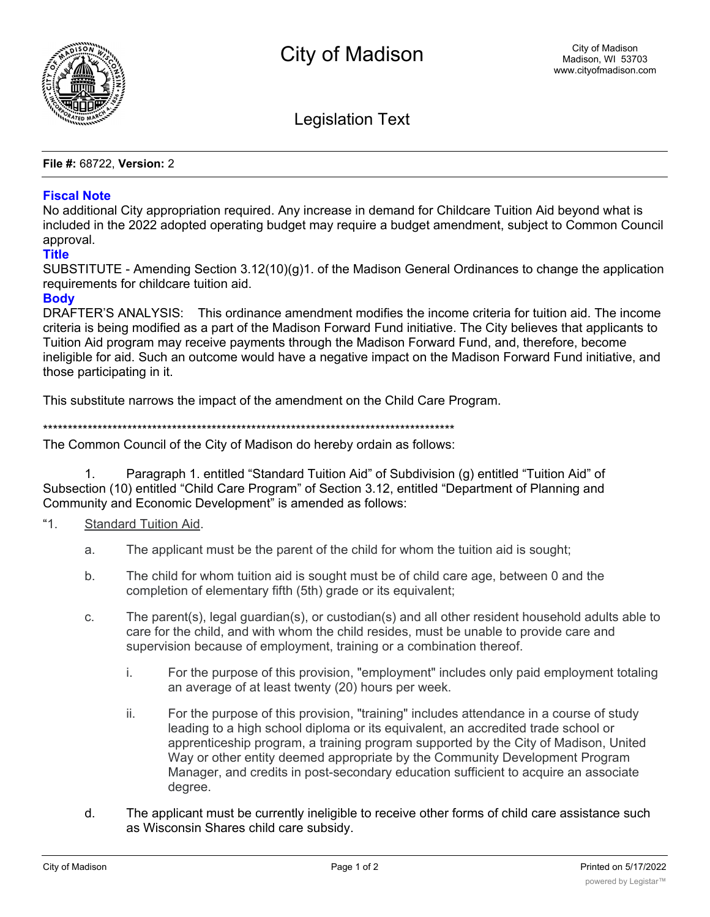

**Legislation Text** 

File #: 68722, Version: 2

## **Fiscal Note**

No additional City appropriation required. Any increase in demand for Childcare Tuition Aid beyond what is included in the 2022 adopted operating budget may reguire a budget amendment, subject to Common Council approval.

## **Title**

SUBSTITUTE - Amending Section  $3.12(10)(q)1$ . of the Madison General Ordinances to change the application requirements for childcare tuition aid.

## **Body**

DRAFTER'S ANALYSIS: This ordinance amendment modifies the income criteria for tuition aid. The income criteria is being modified as a part of the Madison Forward Fund initiative. The City believes that applicants to Tuition Aid program may receive payments through the Madison Forward Fund, and, therefore, become ineligible for aid. Such an outcome would have a negative impact on the Madison Forward Fund initiative, and those participating in it.

This substitute narrows the impact of the amendment on the Child Care Program.

The Common Council of the City of Madison do hereby ordain as follows:

 $1<sup>1</sup>$ Paragraph 1. entitled "Standard Tuition Aid" of Subdivision (g) entitled "Tuition Aid" of Subsection (10) entitled "Child Care Program" of Section 3.12, entitled "Department of Planning and Community and Economic Development" is amended as follows:

- "1 Standard Tuition Aid.
	- The applicant must be the parent of the child for whom the tuition aid is sought; a.
	- b. The child for whom tuition aid is sought must be of child care age, between 0 and the completion of elementary fifth (5th) grade or its equivalent;
	- The parent(s), legal guardian(s), or custodian(s) and all other resident household adults able to C. care for the child, and with whom the child resides, must be unable to provide care and supervision because of employment, training or a combination thereof.
		- i. For the purpose of this provision, "employment" includes only paid employment totaling an average of at least twenty (20) hours per week.
		- ii. For the purpose of this provision, "training" includes attendance in a course of study leading to a high school diploma or its equivalent, an accredited trade school or apprenticeship program, a training program supported by the City of Madison, United Way or other entity deemed appropriate by the Community Development Program Manager, and credits in post-secondary education sufficient to acquire an associate degree.
	- $\mathsf{p}$ The applicant must be currently ineligible to receive other forms of child care assistance such as Wisconsin Shares child care subsidy.